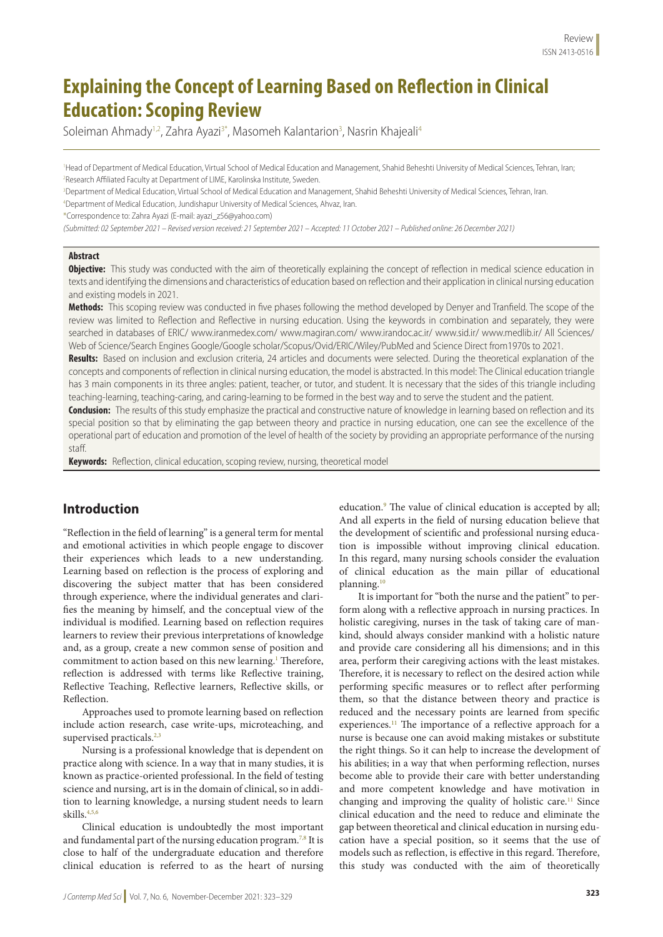# **Explaining the Concept of Learning Based on Reflection in Clinical Education: Scoping Review**

Soleiman Ahmady<sup>1,2</sup>, Zahra Ayazi<sup>3\*</sup>, Masomeh Kalantarion<sup>3</sup>, Nasrin Khajeali<sup>4</sup>

1 Head of Department of Medical Education, Virtual School of Medical Education and Management, Shahid Beheshti University of Medical Sciences, Tehran, Iran; 2 Research Affiliated Faculty at Department of LIME, Karolinska Institute, Sweden.

3 Department of Medical Education, Virtual School of Medical Education and Management, Shahid Beheshti University of Medical Sciences, Tehran, Iran. 4 Department of Medical Education, Jundishapur University of Medical Sciences, Ahvaz, Iran.

\*Correspondence to: Zahra Ayazi (E-mail: ayazi\_z56@yahoo.com)

*(Submitted: 02 September 2021 – Revised version received: 21 September 2021 – Accepted: 11 October 2021 – Published online: 26 December 2021)*

#### **Abstract**

**Objective:** This study was conducted with the aim of theoretically explaining the concept of reflection in medical science education in texts and identifying the dimensions and characteristics of education based on reflection and their application in clinical nursing education and existing models in 2021.

**Methods:** This scoping review was conducted in five phases following the method developed by Denyer and Tranfield. The scope of the review was limited to Reflection and Reflective in nursing education. Using the keywords in combination and separately, they were searched in databases of ERIC/ www.iranmedex.com/ www.magiran.com/ www.irandoc.ac.ir/ www.sid.ir/ www.medlib.ir/ All Sciences/ Web of Science/Search Engines Google/Google scholar/Scopus/Ovid/ERIC/Wiley/PubMed and Science Direct from1970s to 2021.

**Results:** Based on inclusion and exclusion criteria, 24 articles and documents were selected. During the theoretical explanation of the concepts and components of reflection in clinical nursing education, the model is abstracted. In this model: The Clinical education triangle has 3 main components in its three angles: patient, teacher, or tutor, and student. It is necessary that the sides of this triangle including teaching-learning, teaching-caring, and caring-learning to be formed in the best way and to serve the student and the patient.

**Conclusion:** The results of this study emphasize the practical and constructive nature of knowledge in learning based on reflection and its special position so that by eliminating the gap between theory and practice in nursing education, one can see the excellence of the operational part of education and promotion of the level of health of the society by providing an appropriate performance of the nursing staff.

**Keywords:** Reflection, clinical education, scoping review, nursing, theoretical model

### **Introduction**

"Reflection in the field of learning" is a general term for mental and emotional activities in which people engage to discover their experiences which leads to a new understanding. Learning based on reflection is the process of exploring and discovering the subject matter that has been considered through experience, where the individual generates and clarifies the meaning by himself, and the conceptual view of the individual is modified. Learning based on reflection requires learners to review their previous interpretations of knowledge and, as a group, create a new common sense of position and commitment to action based on this new learning.<sup>1</sup> Therefore, reflection is addressed with terms like Reflective training, Reflective Teaching, Reflective learners, Reflective skills, or Reflection.

Approaches used to promote learning based on reflection include action research, case write-ups, microteaching, and supervised practicals.<sup>2,3</sup>

Nursing is a professional knowledge that is dependent on practice along with science. In a way that in many studies, it is known as practice-oriented professional. In the field of testing science and nursing, art is in the domain of clinical, so in addition to learning knowledge, a nursing student needs to learn skills. 4,5,6

Clinical education is undoubtedly the most important and fundamental part of the nursing education program.<sup>7,8</sup> It is close to half of the undergraduate education and therefore clinical education is referred to as the heart of nursing

education.<sup>9</sup> The value of clinical education is accepted by all; And all experts in the field of nursing education believe that the development of scientific and professional nursing education is impossible without improving clinical education. In this regard, many nursing schools consider the evaluation of clinical education as the main pillar of educational planning.10

It is important for "both the nurse and the patient" to perform along with a reflective approach in nursing practices. In holistic caregiving, nurses in the task of taking care of mankind, should always consider mankind with a holistic nature and provide care considering all his dimensions; and in this area, perform their caregiving actions with the least mistakes. Therefore, it is necessary to reflect on the desired action while performing specific measures or to reflect after performing them, so that the distance between theory and practice is reduced and the necessary points are learned from specific experiences.<sup>11</sup> The importance of a reflective approach for a nurse is because one can avoid making mistakes or substitute the right things. So it can help to increase the development of his abilities; in a way that when performing reflection, nurses become able to provide their care with better understanding and more competent knowledge and have motivation in changing and improving the quality of holistic care.<sup>11</sup> Since clinical education and the need to reduce and eliminate the gap between theoretical and clinical education in nursing education have a special position, so it seems that the use of models such as reflection, is effective in this regard. Therefore, this study was conducted with the aim of theoretically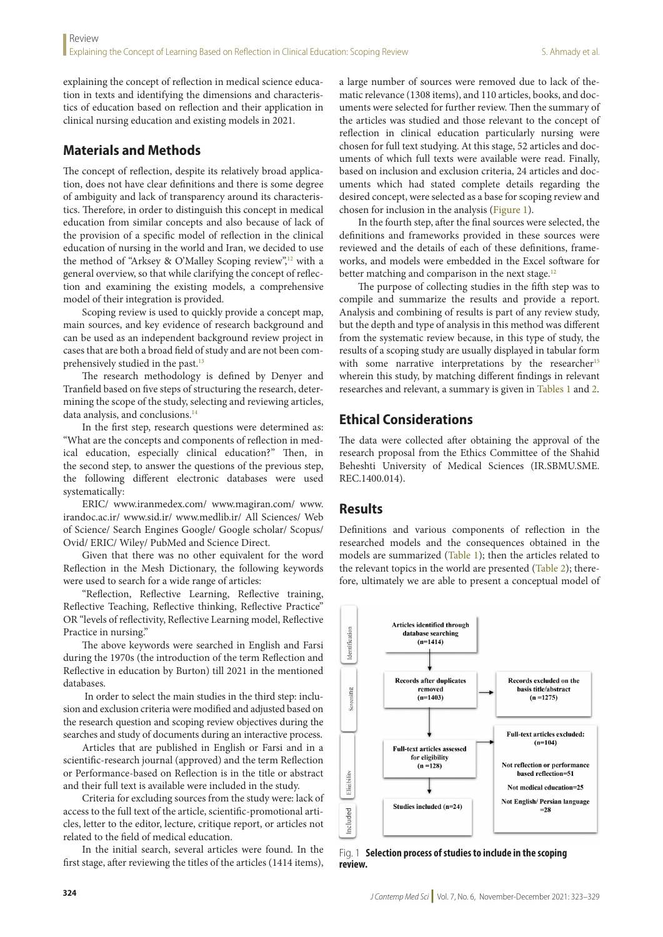explaining the concept of reflection in medical science education in texts and identifying the dimensions and characteristics of education based on reflection and their application in clinical nursing education and existing models in 2021.

### **Materials and Methods**

The concept of reflection, despite its relatively broad application, does not have clear definitions and there is some degree of ambiguity and lack of transparency around its characteristics. Therefore, in order to distinguish this concept in medical education from similar concepts and also because of lack of the provision of a specific model of reflection in the clinical education of nursing in the world and Iran, we decided to use the method of "Arksey & O'Malley Scoping review",<sup>12</sup> with a general overview, so that while clarifying the concept of reflection and examining the existing models, a comprehensive model of their integration is provided.

Scoping review is used to quickly provide a concept map, main sources, and key evidence of research background and can be used as an independent background review project in cases that are both a broad field of study and are not been comprehensively studied in the past.<sup>13</sup>

The research methodology is defined by Denyer and Tranfield based on five steps of structuring the research, determining the scope of the study, selecting and reviewing articles, data analysis, and conclusions.<sup>14</sup>

In the first step, research questions were determined as: "What are the concepts and components of reflection in medical education, especially clinical education?" Then, in the second step, to answer the questions of the previous step, the following different electronic databases were used systematically:

ERIC/ www.iranmedex.com/ www.magiran.com/ www. irandoc.ac.ir/ www.sid.ir/ www.medlib.ir/ All Sciences/ Web of Science/ Search Engines Google/ Google scholar/ Scopus/ Ovid/ ERIC/ Wiley/ PubMed and Science Direct.

Given that there was no other equivalent for the word Reflection in the Mesh Dictionary, the following keywords were used to search for a wide range of articles:

"Reflection, Reflective Learning, Reflective training, Reflective Teaching, Reflective thinking, Reflective Practice" OR "levels of reflectivity, Reflective Learning model, Reflective Practice in nursing."

The above keywords were searched in English and Farsi during the 1970s (the introduction of the term Reflection and Reflective in education by Burton) till 2021 in the mentioned databases.

 In order to select the main studies in the third step: inclusion and exclusion criteria were modified and adjusted based on the research question and scoping review objectives during the searches and study of documents during an interactive process.

Articles that are published in English or Farsi and in a scientific-research journal (approved) and the term Reflection or Performance-based on Reflection is in the title or abstract and their full text is available were included in the study.

Criteria for excluding sources from the study were: lack of access to the full text of the article, scientific-promotional articles, letter to the editor, lecture, critique report, or articles not related to the field of medical education.

In the initial search, several articles were found. In the first stage, after reviewing the titles of the articles (1414 items), a large number of sources were removed due to lack of thematic relevance (1308 items), and 110 articles, books, and documents were selected for further review. Then the summary of the articles was studied and those relevant to the concept of reflection in clinical education particularly nursing were chosen for full text studying. At this stage, 52 articles and documents of which full texts were available were read. Finally, based on inclusion and exclusion criteria, 24 articles and documents which had stated complete details regarding the desired concept, were selected as a base for scoping review and chosen for inclusion in the analysis (Figure 1).

In the fourth step, after the final sources were selected, the definitions and frameworks provided in these sources were reviewed and the details of each of these definitions, frameworks, and models were embedded in the Excel software for better matching and comparison in the next stage.<sup>12</sup>

The purpose of collecting studies in the fifth step was to compile and summarize the results and provide a report. Analysis and combining of results is part of any review study, but the depth and type of analysis in this method was different from the systematic review because, in this type of study, the results of a scoping study are usually displayed in tabular form with some narrative interpretations by the researcher<sup>15</sup> wherein this study, by matching different findings in relevant researches and relevant, a summary is given in Tables 1 and 2.

### **Ethical Considerations**

The data were collected after obtaining the approval of the research proposal from the Ethics Committee of the Shahid Beheshti University of Medical Sciences (IR.SBMU.SME. REC.1400.014).

#### **Results**

Definitions and various components of reflection in the researched models and the consequences obtained in the models are summarized (Table 1); then the articles related to the relevant topics in the world are presented (Table 2); therefore, ultimately we are able to present a conceptual model of



Fig. 1 **Selection process of studies to include in the scoping review.**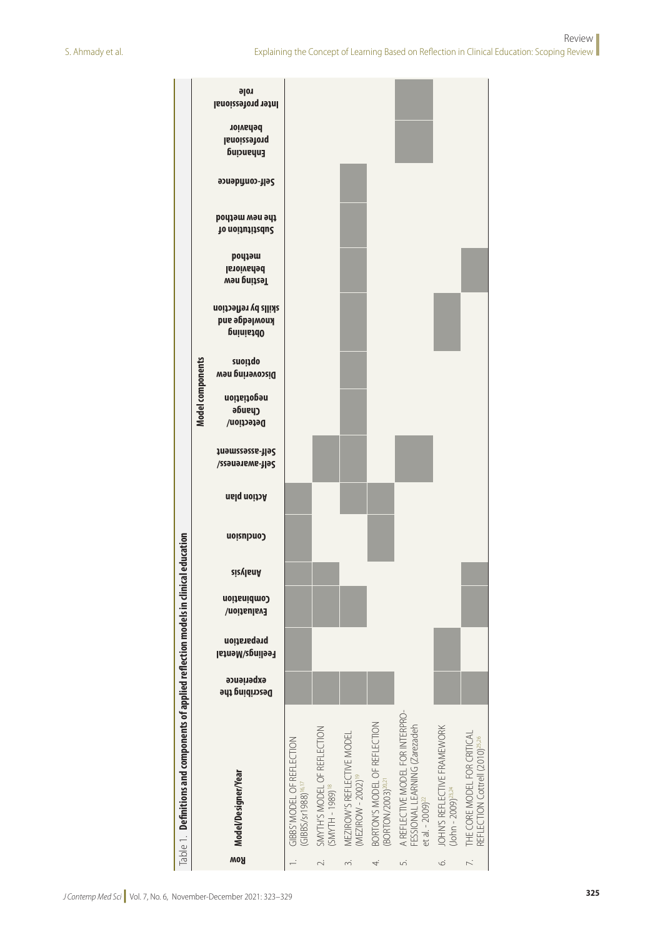| role<br><b>Inter professional</b><br>behavior<br>lanoizzeronq<br>Enhancing<br>ээиәруиоэ-ұәқ<br>the new method<br>Io noitution of<br>poqiem<br><b>Istoivaded</b><br>Testing new<br>skills by reflection<br>knowledge and<br>Dhtaining<br>Model components<br><b>anoiiqo</b><br>Discovering new<br>negotiation<br>әбиеур<br>Detection/<br>Self-assessment<br>Self-awareness/<br><b>Action plan</b><br>Conclusion<br><b>sizylanA</b><br>Combination<br>Evaluation/<br>preparation<br>Feelings/Mental<br>experience<br>Describing the<br>A REFLECTIVE MODEL FOR INTERPRO-<br>BORTON'S MODEL OF REFLECTION<br>FESSIONAL LEARNING (Zarezadeh<br>et al. - 2009) <sup>22</sup><br>JOHN'S REFLECTIVE FRAMEWORK<br>SMYTH'S MODEL OF REFLECTION<br>THE CORE MODEL FOR CRITICAL<br>MEZIROW'S REFLECTIVE MODEL<br>REFLECTION Cottrell (2010) <sup>25,26</sup><br>GIBBS' MODEL OF REFLECTION<br>Model/Designer/Year<br>(MEZIROW - 2002) <sup>19</sup><br>(BORTON/2003) <sup>20,21</sup><br>(GIBBS/sr1988) <sup>16,17</sup><br>$(SMYTH - 1989)^{18}$<br>$(John - 2009)^{23,24}$ | $\Box$ able 1. Definitions and components of applied reflection models in clinical |  | education |  |  |  |  |  |  |
|------------------------------------------------------------------------------------------------------------------------------------------------------------------------------------------------------------------------------------------------------------------------------------------------------------------------------------------------------------------------------------------------------------------------------------------------------------------------------------------------------------------------------------------------------------------------------------------------------------------------------------------------------------------------------------------------------------------------------------------------------------------------------------------------------------------------------------------------------------------------------------------------------------------------------------------------------------------------------------------------------------------------------------------------------------------|------------------------------------------------------------------------------------|--|-----------|--|--|--|--|--|--|
| Row                                                                                                                                                                                                                                                                                                                                                                                                                                                                                                                                                                                                                                                                                                                                                                                                                                                                                                                                                                                                                                                              |                                                                                    |  |           |  |  |  |  |  |  |
|                                                                                                                                                                                                                                                                                                                                                                                                                                                                                                                                                                                                                                                                                                                                                                                                                                                                                                                                                                                                                                                                  |                                                                                    |  |           |  |  |  |  |  |  |
| S.<br>$\sim$<br>4.<br>$\sim$<br>Ġ.                                                                                                                                                                                                                                                                                                                                                                                                                                                                                                                                                                                                                                                                                                                                                                                                                                                                                                                                                                                                                               |                                                                                    |  |           |  |  |  |  |  |  |
| $\overline{\phantom{0}}$                                                                                                                                                                                                                                                                                                                                                                                                                                                                                                                                                                                                                                                                                                                                                                                                                                                                                                                                                                                                                                         |                                                                                    |  |           |  |  |  |  |  |  |
|                                                                                                                                                                                                                                                                                                                                                                                                                                                                                                                                                                                                                                                                                                                                                                                                                                                                                                                                                                                                                                                                  |                                                                                    |  |           |  |  |  |  |  |  |
|                                                                                                                                                                                                                                                                                                                                                                                                                                                                                                                                                                                                                                                                                                                                                                                                                                                                                                                                                                                                                                                                  |                                                                                    |  |           |  |  |  |  |  |  |
|                                                                                                                                                                                                                                                                                                                                                                                                                                                                                                                                                                                                                                                                                                                                                                                                                                                                                                                                                                                                                                                                  |                                                                                    |  |           |  |  |  |  |  |  |
|                                                                                                                                                                                                                                                                                                                                                                                                                                                                                                                                                                                                                                                                                                                                                                                                                                                                                                                                                                                                                                                                  |                                                                                    |  |           |  |  |  |  |  |  |
|                                                                                                                                                                                                                                                                                                                                                                                                                                                                                                                                                                                                                                                                                                                                                                                                                                                                                                                                                                                                                                                                  |                                                                                    |  |           |  |  |  |  |  |  |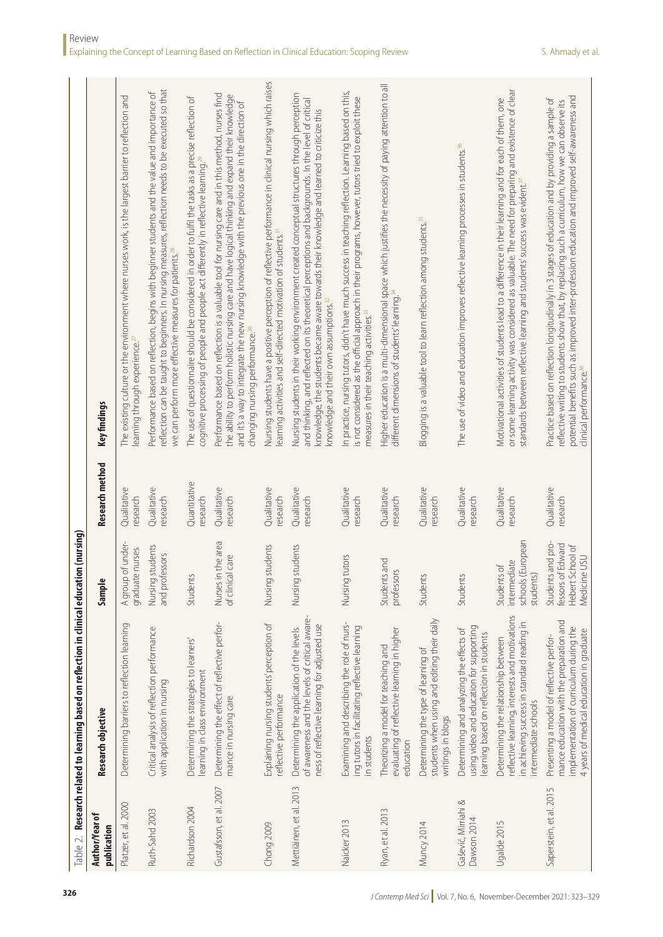|                                    | $\Box$ able 2. Research related to learning based on reflection in clinical education                                                                                       | on (nursing)                                                               |                          |                                                                                                                                                                                                                                                                                                                                                            |
|------------------------------------|-----------------------------------------------------------------------------------------------------------------------------------------------------------------------------|----------------------------------------------------------------------------|--------------------------|------------------------------------------------------------------------------------------------------------------------------------------------------------------------------------------------------------------------------------------------------------------------------------------------------------------------------------------------------------|
| Author/Year of<br>publication      | Research objective                                                                                                                                                          | Sample                                                                     | <b>Research method</b>   | Key findings                                                                                                                                                                                                                                                                                                                                               |
| Platzer, et al. 2000               | Determining barriers to reflection learning                                                                                                                                 | A group of under-<br>graduate nurses                                       | Qualitative<br>research  | The existing culture or the environment where nurses work, is the largest barrier to reflection and<br>learning through experience. $^{2}$                                                                                                                                                                                                                 |
| Ruth-Sahd 2003                     | Critical analysis of reflection performance<br>with application in nursing                                                                                                  | Nursing students<br>and professors                                         | Qualitative<br>research  | reflection can be taught to beginners. In nursing measures, reflection needs to be executed so that<br>Performance based on reflection, begins with beginner students and the value and importance of<br>we can perform more effective measures for patients. <sup>28</sup>                                                                                |
| Richardson 2004                    | Determining the strategies to learners'<br>learning in class environment                                                                                                    | Students                                                                   | Quantitative<br>research | The use of questionnaire should be considered in order to fulfil the tasks as a precise reflection of<br>cognitive processing of people and people act differently in reflective learning. <sup>29</sup>                                                                                                                                                   |
| Gustafsson, et al. 2007            | Determining the effect of reflective perfor-<br>mance in nursing care                                                                                                       | Nurses in the area<br>of clinical care                                     | Qualitative<br>research  | Performance based on reflection is a valuable tool for nursing care and in this method, nurses find<br>the ability to perform holistic nursing care and have logical thinking and expand their knowledge<br>and it's a way to integrate the new nursing knowledge with the previous one in the direction of<br>changing nursing performance. <sup>30</sup> |
| Chong 2009                         | Explaining nursing students' perception of<br>reflective performance                                                                                                        | students<br>Nursing:                                                       | Qualitative<br>research  | Nursing students have a positive perception of reflective performance in clinical nursing which raises<br>learning activities and self-directed motivation of students. <sup>3</sup>                                                                                                                                                                       |
| Mettiäinen, et al. 2013            | of awareness and the levels of critical aware-<br>ness of reflective learning for adjusted use<br>Determining the application of the levels                                 | students<br>Nursing:                                                       | Qualitative<br>research  | Nursing students in their working environment created conceptual structures through perception<br>and thinking, and reflected on its theoretical perceptions and backgrounds. In the level of critical<br>knowledge, the students became aware towards their knowledge and learned to criticize this<br>knowledge and their own assumptions. <sup>32</sup> |
| Naicker 2013                       | Examining and describing the role of nurs-<br>ing tutors in facilitating reflective learning<br>in students                                                                 | tutors<br>Nursing t                                                        | Qualitative<br>research  | In practice, nursing tutors, didn't have much success in teaching reflection. Learning based on this,<br>is not considered as the official approach in their programs, however, tutors tried to exploit these<br>measures in their teaching activities. <sup>33</sup>                                                                                      |
| Ryan, et al. 2013                  | evaluating of reflective learning in higher<br>Theorizing a model for teaching and<br>education                                                                             | Students and<br>professors                                                 | Qualitative<br>research  | Higher education is a multi-dimensional space which justifies the necessity of paying attention to all<br>different dimensions of students' learning. <sup>34</sup>                                                                                                                                                                                        |
| Muncy 2014                         | students when using and editing their daily<br>Determining the type of learning of<br>writings in blogs                                                                     | Students                                                                   | Qualitative<br>research  | Blogging is a valuable tool to learn reflection among students. <sup>35</sup>                                                                                                                                                                                                                                                                              |
| Gašević, Mirriahi &<br>Dawson 2014 | using video and education for supporting<br>Determining and analyzing the effects of<br>learning based on reflection in students                                            | Students                                                                   | Qualitative<br>research  | The use of video and education improves reflective learning processes in students. <sup>36</sup>                                                                                                                                                                                                                                                           |
| Ugalde 2015                        | reflective learning, interests and motivations<br>in achieving success in standard reading in<br>Determining the relationship between<br>ntermediate schools                | schools (European<br>intermediate<br>Students of<br>students               | Qualitative<br>research  | or some learning activity was considered as valuable. The need for preparing and existence of clear<br>Motivational activities of students lead to a difference in their learning and for each of them, one<br>standards between reflective learning and students' success was evident. <sup>37</sup>                                                      |
| Saperstein, et al. 2015            | mance education with the preparation and<br>implementation of curriculum during the<br>4 years of medical education in graduate<br>Presenting a model of reflective perfor- | Students and pro-<br>fessors of Edward<br>Hebert School of<br>Medicine USU | Qualitative<br>research  | potential benefits such as improved inter-profession education and improved self-awareness and<br>Practice based on reflection longitudinally in 3 stages of education and by providing a sample of<br>reflective writing to students show that, by replacing such a curriculum, how we can observe its<br>clinical performance. <sup>38</sup>             |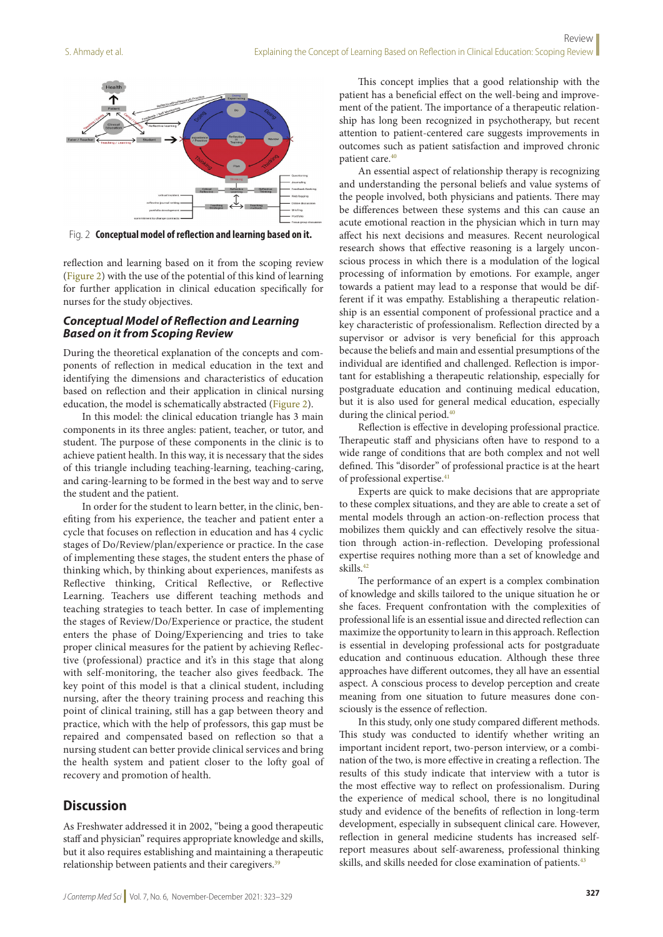

Fig. 2 **Conceptual model of reflection and learning based on it.**

reflection and learning based on it from the scoping review (Figure 2) with the use of the potential of this kind of learning for further application in clinical education specifically for nurses for the study objectives.

#### *Conceptual Model of Reflection and Learning Based on it from Scoping Review*

During the theoretical explanation of the concepts and components of reflection in medical education in the text and identifying the dimensions and characteristics of education based on reflection and their application in clinical nursing education, the model is schematically abstracted (Figure 2).

In this model: the clinical education triangle has 3 main components in its three angles: patient, teacher, or tutor, and student. The purpose of these components in the clinic is to achieve patient health. In this way, it is necessary that the sides of this triangle including teaching-learning, teaching-caring, and caring-learning to be formed in the best way and to serve the student and the patient.

In order for the student to learn better, in the clinic, benefiting from his experience, the teacher and patient enter a cycle that focuses on reflection in education and has 4 cyclic stages of Do/Review/plan/experience or practice. In the case of implementing these stages, the student enters the phase of thinking which, by thinking about experiences, manifests as Reflective thinking, Critical Reflective, or Reflective Learning. Teachers use different teaching methods and teaching strategies to teach better. In case of implementing the stages of Review/Do/Experience or practice, the student enters the phase of Doing/Experiencing and tries to take proper clinical measures for the patient by achieving Reflective (professional) practice and it's in this stage that along with self-monitoring, the teacher also gives feedback. The key point of this model is that a clinical student, including nursing, after the theory training process and reaching this point of clinical training, still has a gap between theory and practice, which with the help of professors, this gap must be repaired and compensated based on reflection so that a nursing student can better provide clinical services and bring the health system and patient closer to the lofty goal of recovery and promotion of health.

#### **Discussion**

As Freshwater addressed it in 2002, "being a good therapeutic staff and physician" requires appropriate knowledge and skills, but it also requires establishing and maintaining a therapeutic relationship between patients and their caregivers.<sup>39</sup>

This concept implies that a good relationship with the patient has a beneficial effect on the well-being and improvement of the patient. The importance of a therapeutic relationship has long been recognized in psychotherapy, but recent attention to patient-centered care suggests improvements in outcomes such as patient satisfaction and improved chronic patient care.<sup>40</sup>

An essential aspect of relationship therapy is recognizing and understanding the personal beliefs and value systems of the people involved, both physicians and patients. There may be differences between these systems and this can cause an acute emotional reaction in the physician which in turn may affect his next decisions and measures. Recent neurological research shows that effective reasoning is a largely unconscious process in which there is a modulation of the logical processing of information by emotions. For example, anger towards a patient may lead to a response that would be different if it was empathy. Establishing a therapeutic relationship is an essential component of professional practice and a key characteristic of professionalism. Reflection directed by a supervisor or advisor is very beneficial for this approach because the beliefs and main and essential presumptions of the individual are identified and challenged. Reflection is important for establishing a therapeutic relationship, especially for postgraduate education and continuing medical education, but it is also used for general medical education, especially during the clinical period.<sup>40</sup>

Reflection is effective in developing professional practice. Therapeutic staff and physicians often have to respond to a wide range of conditions that are both complex and not well defined. This "disorder" of professional practice is at the heart of professional expertise.<sup>41</sup>

Experts are quick to make decisions that are appropriate to these complex situations, and they are able to create a set of mental models through an action-on-reflection process that mobilizes them quickly and can effectively resolve the situation through action-in-reflection. Developing professional expertise requires nothing more than a set of knowledge and skills.42

The performance of an expert is a complex combination of knowledge and skills tailored to the unique situation he or she faces. Frequent confrontation with the complexities of professional life is an essential issue and directed reflection can maximize the opportunity to learn in this approach. Reflection is essential in developing professional acts for postgraduate education and continuous education. Although these three approaches have different outcomes, they all have an essential aspect. A conscious process to develop perception and create meaning from one situation to future measures done consciously is the essence of reflection.

In this study, only one study compared different methods. This study was conducted to identify whether writing an important incident report, two-person interview, or a combination of the two, is more effective in creating a reflection. The results of this study indicate that interview with a tutor is the most effective way to reflect on professionalism. During the experience of medical school, there is no longitudinal study and evidence of the benefits of reflection in long-term development, especially in subsequent clinical care. However, reflection in general medicine students has increased selfreport measures about self-awareness, professional thinking skills, and skills needed for close examination of patients.<sup>43</sup>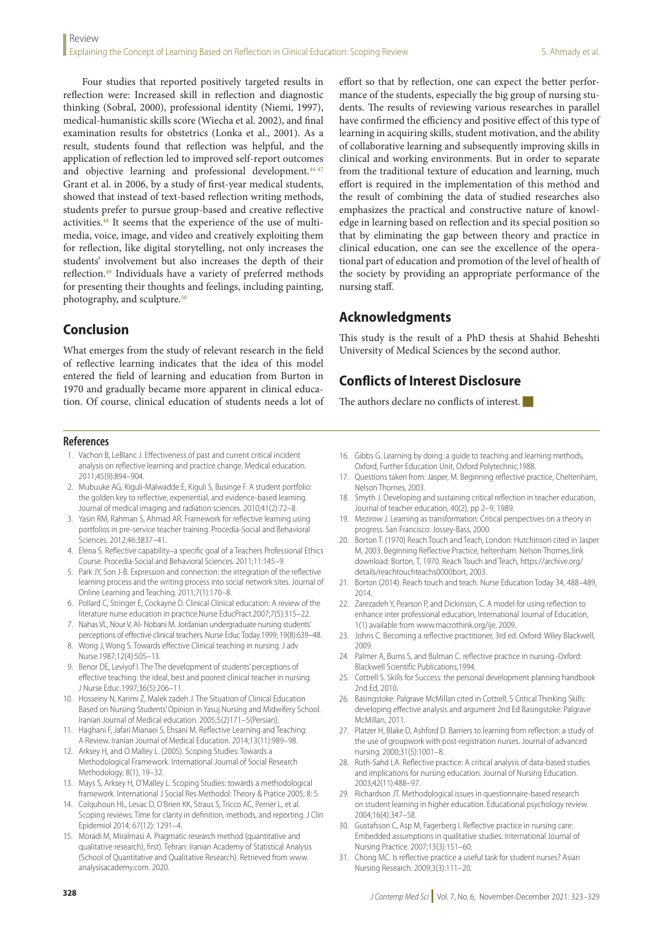Four studies that reported positively targeted results in reflection were: Increased skill in reflection and diagnostic thinking (Sobral, 2000), professional identity (Niemi, 1997), medical-humanistic skills score (Wiecha et al. 2002), and final examination results for obstetrics (Lonka et al., 2001). As a result, students found that reflection was helpful, and the application of reflection led to improved self-report outcomes and objective learning and professional development.<sup>44-47</sup> Grant et al. in 2006, by a study of first-year medical students, showed that instead of text-based reflection writing methods, students prefer to pursue group-based and creative reflective activities.48 It seems that the experience of the use of multimedia, voice, image, and video and creatively exploiting them for reflection, like digital storytelling, not only increases the students' involvement but also increases the depth of their reflection.49 Individuals have a variety of preferred methods for presenting their thoughts and feelings, including painting, photography, and sculpture.<sup>50</sup>

## **Conclusion**

What emerges from the study of relevant research in the field of reflective learning indicates that the idea of this model entered the field of learning and education from Burton in 1970 and gradually became more apparent in clinical education. Of course, clinical education of students needs a lot of effort so that by reflection, one can expect the better performance of the students, especially the big group of nursing students. The results of reviewing various researches in parallel have confirmed the efficiency and positive effect of this type of learning in acquiring skills, student motivation, and the ability of collaborative learning and subsequently improving skills in clinical and working environments. But in order to separate from the traditional texture of education and learning, much effort is required in the implementation of this method and the result of combining the data of studied researches also emphasizes the practical and constructive nature of knowledge in learning based on reflection and its special position so that by eliminating the gap between theory and practice in clinical education, one can see the excellence of the operational part of education and promotion of the level of health of the society by providing an appropriate performance of the nursing staff.

# **Acknowledgments**

Nelson Thornes, 2003.

2014.

2009.

2nd Ed, 2010.

McMillan, 2011.

nursing. 2000;31(5):1001–8.

Nursing Practice. 2007;13(3):151–60.

Nursing Research. 2009;3(3):111–20.

2003;42(11):488–97.

2004;16(4):347–58.

This study is the result of a PhD thesis at Shahid Beheshti University of Medical Sciences by the second author.

16. Gibbs G. Learning by doing: a guide to teaching and learning methods, Oxford, Further Education Unit, Oxford Polytechnic,1988.

17. Questions taken from: Jasper, M. Beginning reflective practice, Cheltenham,

18. Smyth J. Developing and sustaining critical reflection in teacher education,

19. Mezirow J. Learning as transformation: Critical perspectives on a theory in

20. Borton T. (1970) Reach Touch and Teach, London: Hutchinson cited in Jasper M, 2003. Beginning Reflective Practice, heltenham: Nelson Thornes.:link download: Borton, T, 1970. Reach Touch and Teach, https://archive.org/

21. Borton (2014). Reach touch and teach. Nurse Education Today 34, 488–489,

22. Zarezadeh Y, Pearson P, and Dickinson, C. A model for using reflection to enhance inter professional education, International Journal of Education,

23. Johns C. Becoming a reflective practitioner, 3rd ed. Oxford: Wiley Blackwell,

25. Cottrell S. Skills for Success: the personal development planning handbook

26. Basingstoke: Palgrave McMillan cited in Cottrell, S Critical Thinking Skills: developing effective analysis and argument 2nd Ed Basingstoke: Palgrave

27. Platzer H, Blake D, Ashford D. Barriers to learning from reflection: a study of the use of groupwork with post-registration nurses. Journal of advanced

28. Ruth-Sahd LA. Reflective practice: A critical analysis of data-based studies and implications for nursing education. Journal of Nursing Education.

29. Richardson JT. Methodological issues in questionnaire-based research on student learning in higher education. Educational psychology review.

30. Gustafsson C, Asp M, Fagerberg I. Reflective practice in nursing care: Embedded assumptions in qualitative studies. International Journal of

31. Chong MC. Is reflective practice a useful task for student nurses? Asian

24. Palmer A, Burns S, and Bulman C. reflective practice in nursing.-Oxford:

# **Conflicts of Interest Disclosure**

The authors declare no conflicts of interest.

Journal of teacher education, 40(2), pp 2–9, 1989.

1(1) available from www.macrothink.org/ije, 2009.

progress. San Francisco: Jossey-Bass, 2000.

details/reachtouchteachs0000bort, 2003.

Blackwell Scientific Publications,1994.

#### **References**

- 1. Vachon B, LeBlanc J. Effectiveness of past and current critical incident analysis on reflective learning and practice change. Medical education. 2011;45(9):894–904.
- 2. Mubuuke AG, Kiguli-Malwadde E, Kiguli S, Businge F. A student portfolio: the golden key to reflective, experiential, and evidence-based learning. Journal of medical imaging and radiation sciences. 2010;41(2):72–8.
- 3. Yasin RM, Rahman S, Ahmad AR. Framework for reflective learning using portfolios in pre-service teacher training. Procedia-Social and Behavioral Sciences. 2012;46:3837–41.
- 4. Elena S. Reflective capability–a specific goal of a Teachers Professional Ethics Course. Procedia-Social and Behavioral Sciences. 2011;11:145–9.
- 5. Park JY, Son J-B. Expression and connection: the integration of the reflective learning process and the writing process into social network sites. Journal of Online Learning and Teaching. 2011;7(1):170–8.
- 6. Pollard C, Stringer E, Cockayne D. Clinical Clinical education: A review of the literature nurse education in practice.Nurse EducPract.2007;7(5):315–22.
- 7. Nahas VL, Nour V, Al- Nobani M. Jordanian undergraduate nursing students' perceptions of effective clinical teachers. Nurse Educ Today.1999; 19(8):639–48.
- Wong J, Wong S. Towards effective Clinical teaching in nursing. J adv Nurse.1987;12(4):505–13.
- 9. Benor DE, Leviyof I. The The development of students' perceptions of effective teaching: the ideal, best and poorest clinical teacher in nursing. J Nurse Educ.1997;36(5):206–11.
- 10. Hosseiny N, Karimi Z, Malek zadeh J. The Situation of Clinical Education Based on Nursing Students' Opinion in Yasuj Nursing and Midwifery School. Iranian Journal of Medical education. 2005;5(2)171–5(Persian).
- 11. Haghani F, Jafari Mianaei S, Ehsani M. Reflective Learning and Teaching: A Review. Iranian Journal of Medical Education. 2014;13(11):989–98.
- 12. Arksey H, and O Malley L. (2005). Scoping Studies: Towards a Methodological Framework. International Journal of Social Research Methodology, 8(1), 19–32.
- 13. Mays S, Arksey H, O'Malley L. Scoping Studies: towards a methodological framework. International J Social Res Methodol: Theory & Pratice 2005; 8: 5.
- 14. Colquhoun HL, Levac D, O'Brien KK, Straus S, Tricco AC, Perrier L, et al. Scoping reviews: Time for clarity in definition, methods, and reporting. J Clin Epidemiol 2014; 67(12): 1291–4.
- 15. Moradi M, Miralmasi A. Pragmatic research method (quantitative and qualitative research), first). Tehran: Iranian Academy of Statistical Analysis (School of Quantitative and Qualitative Research). Retrieved from www. analysisacademy.com. 2020.
- **<sup>328</sup>** *J Contemp Med Sci* | Vol. 7, No. 6, November-December 2021: 323–329
-